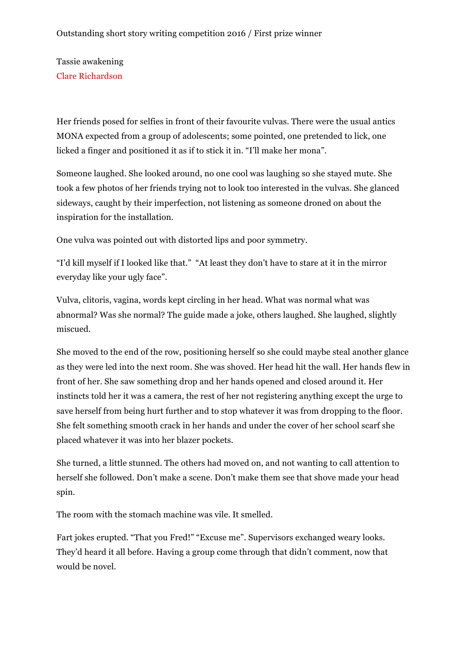Tassie awakening Clare Richardson

Her friends posed for selfies in front of their favourite vulvas. There were the usual antics MONA expected from a group of adolescents; some pointed, one pretended to lick, one licked a finger and positioned it as if to stick it in. "I'll make her mona".

Someone laughed. She looked around, no one cool was laughing so she stayed mute. She took a few photos of her friends trying not to look too interested in the vulvas. She glanced sideways, caught by their imperfection, not listening as someone droned on about the inspiration for the installation.

One vulva was pointed out with distorted lips and poor symmetry.

"I'd kill myself if I looked like that." "At least they don't have to stare at it in the mirror everyday like your ugly face".

Vulva, clitoris, vagina, words kept circling in her head. What was normal what was abnormal? Was she normal? The guide made a joke, others laughed. She laughed, slightly miscued.

She moved to the end of the row, positioning herself so she could maybe steal another glance as they were led into the next room. She was shoved. Her head hit the wall. Her hands flew in front of her. She saw something drop and her hands opened and closed around it. Her instincts told her it was a camera, the rest of her not registering anything except the urge to save herself from being hurt further and to stop whatever it was from dropping to the floor. She felt something smooth crack in her hands and under the cover of her school scarf she placed whatever it was into her blazer pockets.

She turned, a little stunned. The others had moved on, and not wanting to call attention to herself she followed. Don't make a scene. Don't make them see that shove made your head spin.

The room with the stomach machine was vile. It smelled.

Fart jokes erupted. "That you Fred!" "Excuse me". Supervisors exchanged weary looks. They'd heard it all before. Having a group come through that didn't comment, now that would be novel.